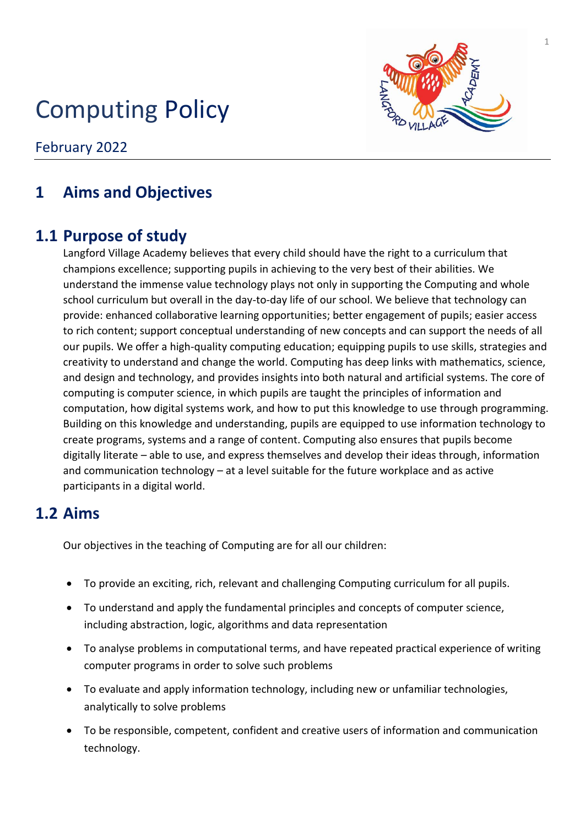# Computing Policy



February 2022

# **1 Aims and Objectives**

# **1.1 Purpose of study**

Langford Village Academy believes that every child should have the right to a curriculum that champions excellence; supporting pupils in achieving to the very best of their abilities. We understand the immense value technology plays not only in supporting the Computing and whole school curriculum but overall in the day-to-day life of our school. We believe that technology can provide: enhanced collaborative learning opportunities; better engagement of pupils; easier access to rich content; support conceptual understanding of new concepts and can support the needs of all our pupils. We offer a high-quality computing education; equipping pupils to use skills, strategies and creativity to understand and change the world. Computing has deep links with mathematics, science, and design and technology, and provides insights into both natural and artificial systems. The core of computing is computer science, in which pupils are taught the principles of information and computation, how digital systems work, and how to put this knowledge to use through programming. Building on this knowledge and understanding, pupils are equipped to use information technology to create programs, systems and a range of content. Computing also ensures that pupils become digitally literate – able to use, and express themselves and develop their ideas through, information and communication technology – at a level suitable for the future workplace and as active participants in a digital world.

### **1.2 Aims**

Our objectives in the teaching of Computing are for all our children:

- To provide an exciting, rich, relevant and challenging Computing curriculum for all pupils.
- To understand and apply the fundamental principles and concepts of computer science, including abstraction, logic, algorithms and data representation
- To analyse problems in computational terms, and have repeated practical experience of writing computer programs in order to solve such problems
- To evaluate and apply information technology, including new or unfamiliar technologies, analytically to solve problems
- To be responsible, competent, confident and creative users of information and communication technology.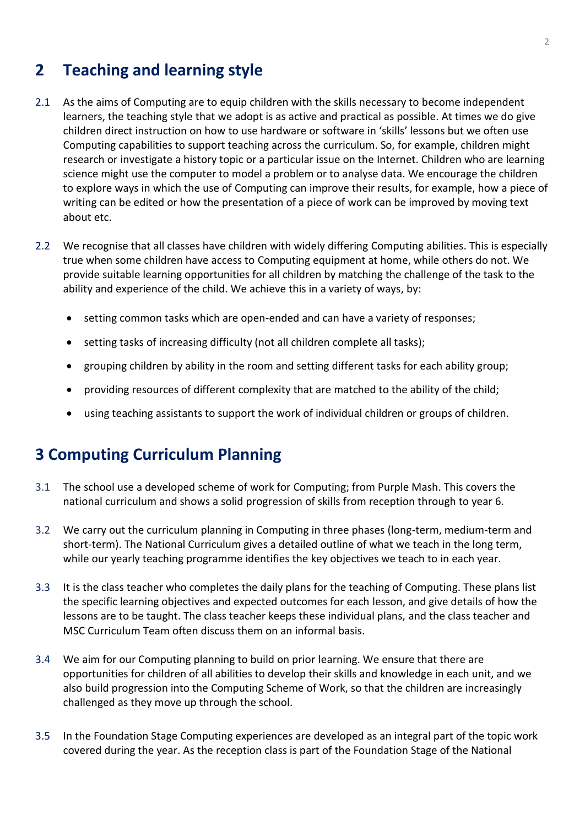## **2 Teaching and learning style**

- 2.1 As the aims of Computing are to equip children with the skills necessary to become independent learners, the teaching style that we adopt is as active and practical as possible. At times we do give children direct instruction on how to use hardware or software in 'skills' lessons but we often use Computing capabilities to support teaching across the curriculum. So, for example, children might research or investigate a history topic or a particular issue on the Internet. Children who are learning science might use the computer to model a problem or to analyse data. We encourage the children to explore ways in which the use of Computing can improve their results, for example, how a piece of writing can be edited or how the presentation of a piece of work can be improved by moving text about etc.
- 2.2 We recognise that all classes have children with widely differing Computing abilities. This is especially true when some children have access to Computing equipment at home, while others do not. We provide suitable learning opportunities for all children by matching the challenge of the task to the ability and experience of the child. We achieve this in a variety of ways, by:
	- setting common tasks which are open-ended and can have a variety of responses;
	- setting tasks of increasing difficulty (not all children complete all tasks);
	- grouping children by ability in the room and setting different tasks for each ability group;
	- providing resources of different complexity that are matched to the ability of the child;
	- using teaching assistants to support the work of individual children or groups of children.

### **3 Computing Curriculum Planning**

- 3.1 The school use a developed scheme of work for Computing; from Purple Mash. This covers the national curriculum and shows a solid progression of skills from reception through to year 6.
- 3.2 We carry out the curriculum planning in Computing in three phases (long-term, medium-term and short-term). The National Curriculum gives a detailed outline of what we teach in the long term, while our yearly teaching programme identifies the key objectives we teach to in each year.
- 3.3 It is the class teacher who completes the daily plans for the teaching of Computing. These plans list the specific learning objectives and expected outcomes for each lesson, and give details of how the lessons are to be taught. The class teacher keeps these individual plans, and the class teacher and MSC Curriculum Team often discuss them on an informal basis.
- 3.4 We aim for our Computing planning to build on prior learning. We ensure that there are opportunities for children of all abilities to develop their skills and knowledge in each unit, and we also build progression into the Computing Scheme of Work, so that the children are increasingly challenged as they move up through the school.
- 3.5 In the Foundation Stage Computing experiences are developed as an integral part of the topic work covered during the year. As the reception class is part of the Foundation Stage of the National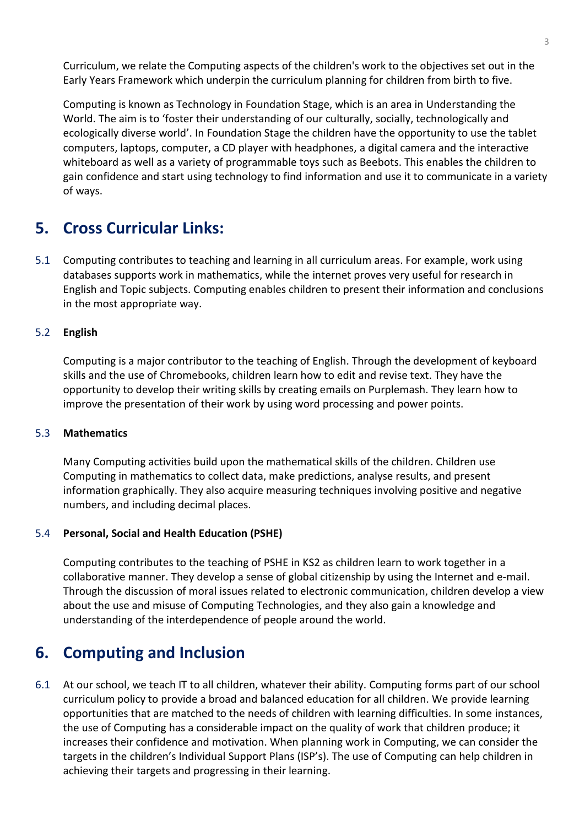Curriculum, we relate the Computing aspects of the children's work to the objectives set out in the Early Years Framework which underpin the curriculum planning for children from birth to five.

Computing is known as Technology in Foundation Stage, which is an area in Understanding the World. The aim is to 'foster their understanding of our culturally, socially, technologically and ecologically diverse world'. In Foundation Stage the children have the opportunity to use the tablet computers, laptops, computer, a CD player with headphones, a digital camera and the interactive whiteboard as well as a variety of programmable toys such as Beebots. This enables the children to gain confidence and start using technology to find information and use it to communicate in a variety of ways.

## **5. Cross Curricular Links:**

5.1 Computing contributes to teaching and learning in all curriculum areas. For example, work using databases supports work in mathematics, while the internet proves very useful for research in English and Topic subjects. Computing enables children to present their information and conclusions in the most appropriate way.

#### 5.2 **English**

Computing is a major contributor to the teaching of English. Through the development of keyboard skills and the use of Chromebooks, children learn how to edit and revise text. They have the opportunity to develop their writing skills by creating emails on Purplemash. They learn how to improve the presentation of their work by using word processing and power points.

#### 5.3 **Mathematics**

Many Computing activities build upon the mathematical skills of the children. Children use Computing in mathematics to collect data, make predictions, analyse results, and present information graphically. They also acquire measuring techniques involving positive and negative numbers, and including decimal places.

#### 5.4 **Personal, Social and Health Education (PSHE)**

Computing contributes to the teaching of PSHE in KS2 as children learn to work together in a collaborative manner. They develop a sense of global citizenship by using the Internet and e-mail. Through the discussion of moral issues related to electronic communication, children develop a view about the use and misuse of Computing Technologies, and they also gain a knowledge and understanding of the interdependence of people around the world.

### **6. Computing and Inclusion**

6.1 At our school, we teach IT to all children, whatever their ability. Computing forms part of our school curriculum policy to provide a broad and balanced education for all children. We provide learning opportunities that are matched to the needs of children with learning difficulties. In some instances, the use of Computing has a considerable impact on the quality of work that children produce; it increases their confidence and motivation. When planning work in Computing, we can consider the targets in the children's Individual Support Plans (ISP's). The use of Computing can help children in achieving their targets and progressing in their learning.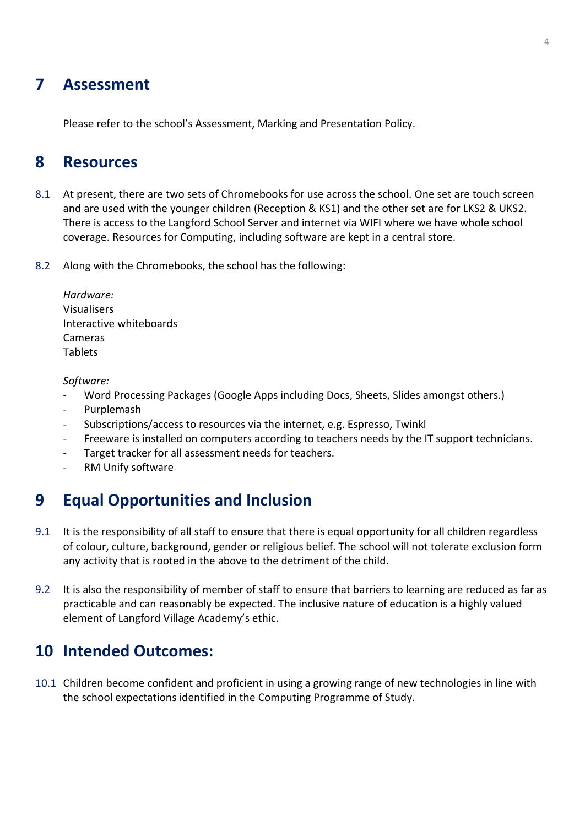### **7 Assessment**

Please refer to the school's Assessment, Marking and Presentation Policy.

### **8 Resources**

- 8.1 At present, there are two sets of Chromebooks for use across the school. One set are touch screen and are used with the younger children (Reception & KS1) and the other set are for LKS2 & UKS2. There is access to the Langford School Server and internet via WIFI where we have whole school coverage. Resources for Computing, including software are kept in a central store.
- 8.2 Along with the Chromebooks, the school has the following:

| Hardware:               |
|-------------------------|
| <b>Visualisers</b>      |
| Interactive whiteboards |
| Cameras                 |
| <b>Tablets</b>          |

*Software:*

- Word Processing Packages (Google Apps including Docs, Sheets, Slides amongst others.)
- **Purplemash**
- Subscriptions/access to resources via the internet, e.g. Espresso, Twinkl
- Freeware is installed on computers according to teachers needs by the IT support technicians.
- Target tracker for all assessment needs for teachers.
- RM Unify software

### **9 Equal Opportunities and Inclusion**

- 9.1 It is the responsibility of all staff to ensure that there is equal opportunity for all children regardless of colour, culture, background, gender or religious belief. The school will not tolerate exclusion form any activity that is rooted in the above to the detriment of the child.
- 9.2 It is also the responsibility of member of staff to ensure that barriers to learning are reduced as far as practicable and can reasonably be expected. The inclusive nature of education is a highly valued element of Langford Village Academy's ethic.

### **10 Intended Outcomes:**

10.1 Children become confident and proficient in using a growing range of new technologies in line with the school expectations identified in the Computing Programme of Study.